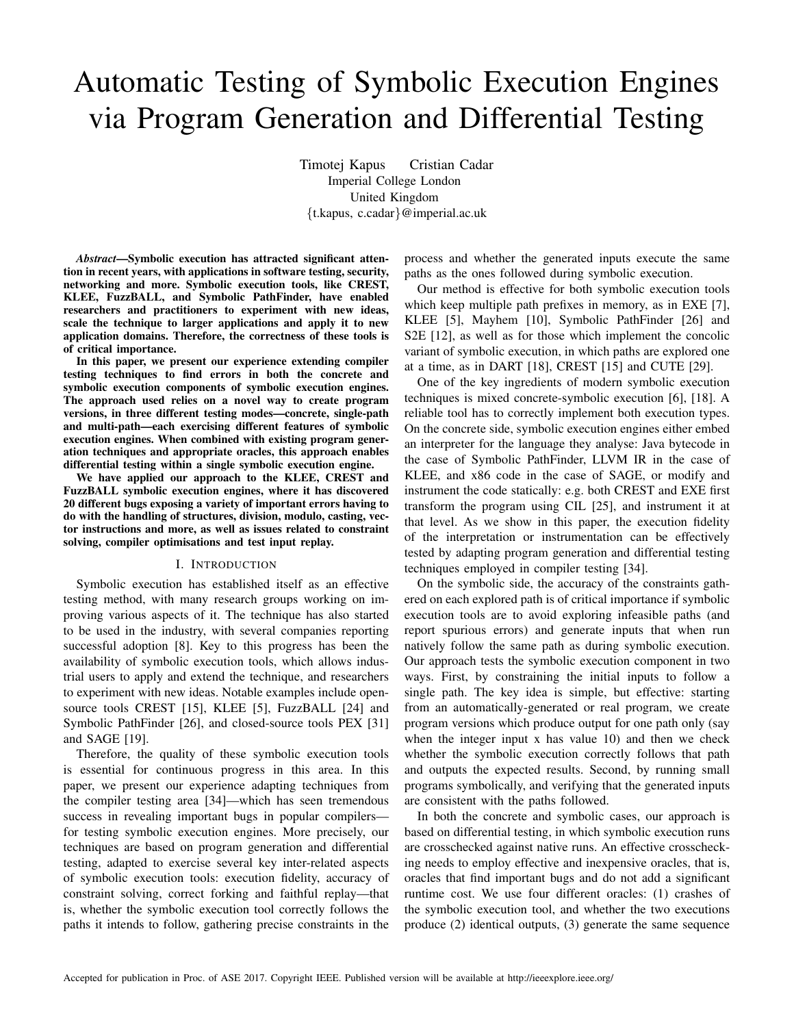# Automatic Testing of Symbolic Execution Engines via Program Generation and Differential Testing

Timotej Kapus Cristian Cadar Imperial College London United Kingdom {t.kapus, c.cadar}@imperial.ac.uk

*Abstract*—Symbolic execution has attracted significant attention in recent years, with applications in software testing, security, networking and more. Symbolic execution tools, like CREST, KLEE, FuzzBALL, and Symbolic PathFinder, have enabled researchers and practitioners to experiment with new ideas, scale the technique to larger applications and apply it to new application domains. Therefore, the correctness of these tools is of critical importance.

In this paper, we present our experience extending compiler testing techniques to find errors in both the concrete and symbolic execution components of symbolic execution engines. The approach used relies on a novel way to create program versions, in three different testing modes—concrete, single-path and multi-path—each exercising different features of symbolic execution engines. When combined with existing program generation techniques and appropriate oracles, this approach enables differential testing within a single symbolic execution engine.

We have applied our approach to the KLEE, CREST and FuzzBALL symbolic execution engines, where it has discovered 20 different bugs exposing a variety of important errors having to do with the handling of structures, division, modulo, casting, vector instructions and more, as well as issues related to constraint solving, compiler optimisations and test input replay.

## I. INTRODUCTION

Symbolic execution has established itself as an effective testing method, with many research groups working on improving various aspects of it. The technique has also started to be used in the industry, with several companies reporting successful adoption [8]. Key to this progress has been the availability of symbolic execution tools, which allows industrial users to apply and extend the technique, and researchers to experiment with new ideas. Notable examples include opensource tools CREST [15], KLEE [5], FuzzBALL [24] and Symbolic PathFinder [26], and closed-source tools PEX [31] and SAGE [19].

Therefore, the quality of these symbolic execution tools is essential for continuous progress in this area. In this paper, we present our experience adapting techniques from the compiler testing area [34]—which has seen tremendous success in revealing important bugs in popular compilers for testing symbolic execution engines. More precisely, our techniques are based on program generation and differential testing, adapted to exercise several key inter-related aspects of symbolic execution tools: execution fidelity, accuracy of constraint solving, correct forking and faithful replay—that is, whether the symbolic execution tool correctly follows the paths it intends to follow, gathering precise constraints in the

process and whether the generated inputs execute the same paths as the ones followed during symbolic execution.

Our method is effective for both symbolic execution tools which keep multiple path prefixes in memory, as in EXE [7], KLEE [5], Mayhem [10], Symbolic PathFinder [26] and S2E [12], as well as for those which implement the concolic variant of symbolic execution, in which paths are explored one at a time, as in DART [18], CREST [15] and CUTE [29].

One of the key ingredients of modern symbolic execution techniques is mixed concrete-symbolic execution [6], [18]. A reliable tool has to correctly implement both execution types. On the concrete side, symbolic execution engines either embed an interpreter for the language they analyse: Java bytecode in the case of Symbolic PathFinder, LLVM IR in the case of KLEE, and x86 code in the case of SAGE, or modify and instrument the code statically: e.g. both CREST and EXE first transform the program using CIL [25], and instrument it at that level. As we show in this paper, the execution fidelity of the interpretation or instrumentation can be effectively tested by adapting program generation and differential testing techniques employed in compiler testing [34].

On the symbolic side, the accuracy of the constraints gathered on each explored path is of critical importance if symbolic execution tools are to avoid exploring infeasible paths (and report spurious errors) and generate inputs that when run natively follow the same path as during symbolic execution. Our approach tests the symbolic execution component in two ways. First, by constraining the initial inputs to follow a single path. The key idea is simple, but effective: starting from an automatically-generated or real program, we create program versions which produce output for one path only (say when the integer input x has value 10) and then we check whether the symbolic execution correctly follows that path and outputs the expected results. Second, by running small programs symbolically, and verifying that the generated inputs are consistent with the paths followed.

In both the concrete and symbolic cases, our approach is based on differential testing, in which symbolic execution runs are crosschecked against native runs. An effective crosschecking needs to employ effective and inexpensive oracles, that is, oracles that find important bugs and do not add a significant runtime cost. We use four different oracles: (1) crashes of the symbolic execution tool, and whether the two executions produce (2) identical outputs, (3) generate the same sequence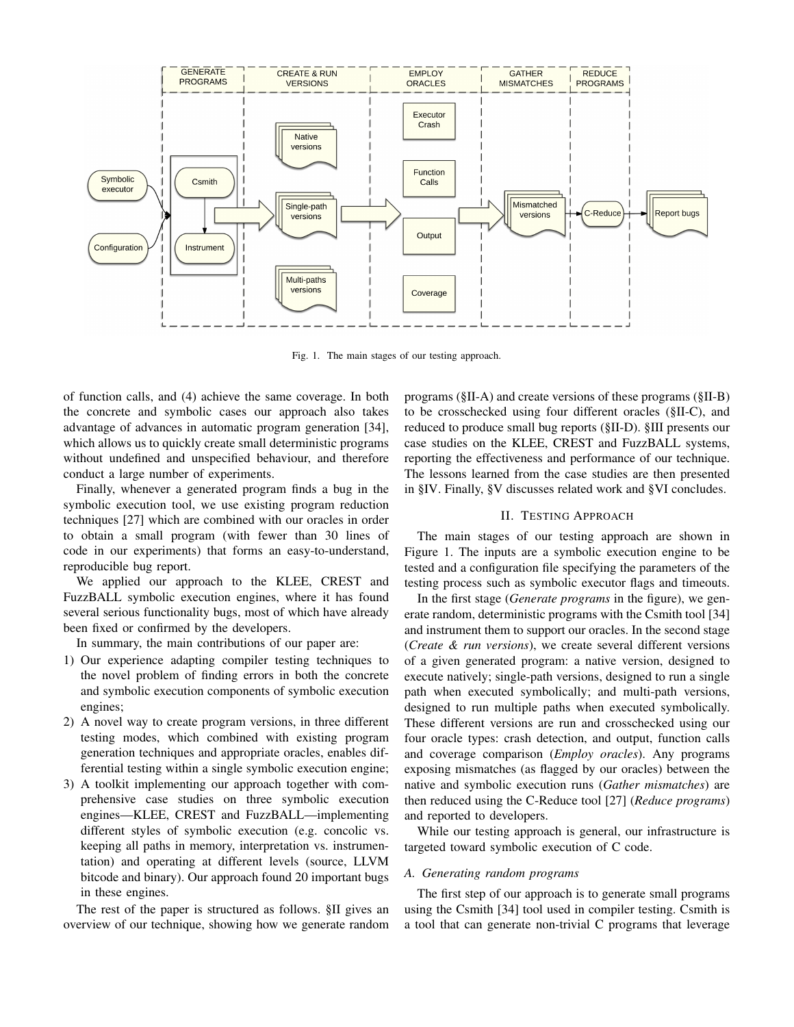

Fig. 1. The main stages of our testing approach.

of function calls, and (4) achieve the same coverage. In both the concrete and symbolic cases our approach also takes advantage of advances in automatic program generation [34], which allows us to quickly create small deterministic programs without undefined and unspecified behaviour, and therefore conduct a large number of experiments.

Finally, whenever a generated program finds a bug in the symbolic execution tool, we use existing program reduction techniques [27] which are combined with our oracles in order to obtain a small program (with fewer than 30 lines of code in our experiments) that forms an easy-to-understand, reproducible bug report.

We applied our approach to the KLEE, CREST and FuzzBALL symbolic execution engines, where it has found several serious functionality bugs, most of which have already been fixed or confirmed by the developers.

In summary, the main contributions of our paper are:

- 1) Our experience adapting compiler testing techniques to the novel problem of finding errors in both the concrete and symbolic execution components of symbolic execution engines;
- 2) A novel way to create program versions, in three different testing modes, which combined with existing program generation techniques and appropriate oracles, enables differential testing within a single symbolic execution engine;
- 3) A toolkit implementing our approach together with comprehensive case studies on three symbolic execution engines—KLEE, CREST and FuzzBALL—implementing different styles of symbolic execution (e.g. concolic vs. keeping all paths in memory, interpretation vs. instrumentation) and operating at different levels (source, LLVM bitcode and binary). Our approach found 20 important bugs in these engines.

The rest of the paper is structured as follows. §II gives an overview of our technique, showing how we generate random programs (§II-A) and create versions of these programs (§II-B) to be crosschecked using four different oracles (§II-C), and reduced to produce small bug reports (§II-D). §III presents our case studies on the KLEE, CREST and FuzzBALL systems, reporting the effectiveness and performance of our technique. The lessons learned from the case studies are then presented in §IV. Finally, §V discusses related work and §VI concludes.

## II. TESTING APPROACH

The main stages of our testing approach are shown in Figure 1. The inputs are a symbolic execution engine to be tested and a configuration file specifying the parameters of the testing process such as symbolic executor flags and timeouts.

In the first stage (*Generate programs* in the figure), we generate random, deterministic programs with the Csmith tool [34] and instrument them to support our oracles. In the second stage (*Create & run versions*), we create several different versions of a given generated program: a native version, designed to execute natively; single-path versions, designed to run a single path when executed symbolically; and multi-path versions, designed to run multiple paths when executed symbolically. These different versions are run and crosschecked using our four oracle types: crash detection, and output, function calls and coverage comparison (*Employ oracles*). Any programs exposing mismatches (as flagged by our oracles) between the native and symbolic execution runs (*Gather mismatches*) are then reduced using the C-Reduce tool [27] (*Reduce programs*) and reported to developers.

While our testing approach is general, our infrastructure is targeted toward symbolic execution of C code.

# *A. Generating random programs*

The first step of our approach is to generate small programs using the Csmith [34] tool used in compiler testing. Csmith is a tool that can generate non-trivial C programs that leverage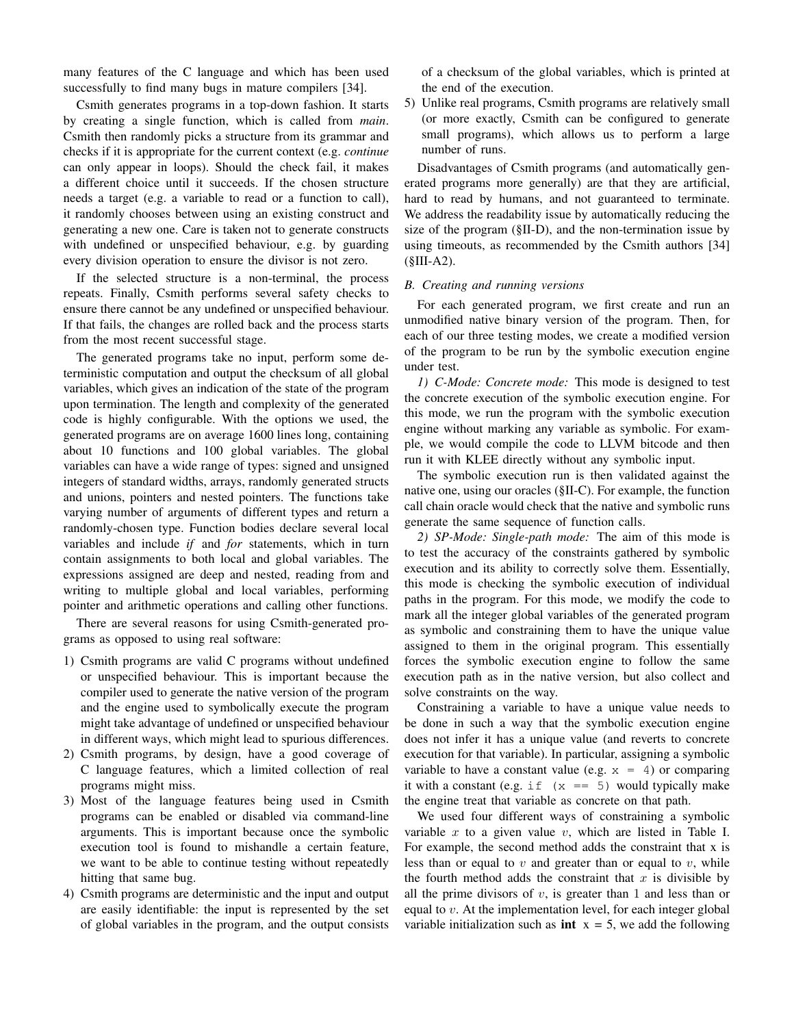many features of the C language and which has been used successfully to find many bugs in mature compilers [34].

Csmith generates programs in a top-down fashion. It starts by creating a single function, which is called from *main*. Csmith then randomly picks a structure from its grammar and checks if it is appropriate for the current context (e.g. *continue* can only appear in loops). Should the check fail, it makes a different choice until it succeeds. If the chosen structure needs a target (e.g. a variable to read or a function to call), it randomly chooses between using an existing construct and generating a new one. Care is taken not to generate constructs with undefined or unspecified behaviour, e.g. by guarding every division operation to ensure the divisor is not zero.

If the selected structure is a non-terminal, the process repeats. Finally, Csmith performs several safety checks to ensure there cannot be any undefined or unspecified behaviour. If that fails, the changes are rolled back and the process starts from the most recent successful stage.

The generated programs take no input, perform some deterministic computation and output the checksum of all global variables, which gives an indication of the state of the program upon termination. The length and complexity of the generated code is highly configurable. With the options we used, the generated programs are on average 1600 lines long, containing about 10 functions and 100 global variables. The global variables can have a wide range of types: signed and unsigned integers of standard widths, arrays, randomly generated structs and unions, pointers and nested pointers. The functions take varying number of arguments of different types and return a randomly-chosen type. Function bodies declare several local variables and include *if* and *for* statements, which in turn contain assignments to both local and global variables. The expressions assigned are deep and nested, reading from and writing to multiple global and local variables, performing pointer and arithmetic operations and calling other functions.

There are several reasons for using Csmith-generated programs as opposed to using real software:

- 1) Csmith programs are valid C programs without undefined or unspecified behaviour. This is important because the compiler used to generate the native version of the program and the engine used to symbolically execute the program might take advantage of undefined or unspecified behaviour in different ways, which might lead to spurious differences.
- 2) Csmith programs, by design, have a good coverage of C language features, which a limited collection of real programs might miss.
- 3) Most of the language features being used in Csmith programs can be enabled or disabled via command-line arguments. This is important because once the symbolic execution tool is found to mishandle a certain feature, we want to be able to continue testing without repeatedly hitting that same bug.
- 4) Csmith programs are deterministic and the input and output are easily identifiable: the input is represented by the set of global variables in the program, and the output consists

of a checksum of the global variables, which is printed at the end of the execution.

5) Unlike real programs, Csmith programs are relatively small (or more exactly, Csmith can be configured to generate small programs), which allows us to perform a large number of runs.

Disadvantages of Csmith programs (and automatically generated programs more generally) are that they are artificial, hard to read by humans, and not guaranteed to terminate. We address the readability issue by automatically reducing the size of the program (§II-D), and the non-termination issue by using timeouts, as recommended by the Csmith authors [34]  $(\S$ III-A2).

### *B. Creating and running versions*

For each generated program, we first create and run an unmodified native binary version of the program. Then, for each of our three testing modes, we create a modified version of the program to be run by the symbolic execution engine under test.

*1) C-Mode: Concrete mode:* This mode is designed to test the concrete execution of the symbolic execution engine. For this mode, we run the program with the symbolic execution engine without marking any variable as symbolic. For example, we would compile the code to LLVM bitcode and then run it with KLEE directly without any symbolic input.

The symbolic execution run is then validated against the native one, using our oracles (§II-C). For example, the function call chain oracle would check that the native and symbolic runs generate the same sequence of function calls.

*2) SP-Mode: Single-path mode:* The aim of this mode is to test the accuracy of the constraints gathered by symbolic execution and its ability to correctly solve them. Essentially, this mode is checking the symbolic execution of individual paths in the program. For this mode, we modify the code to mark all the integer global variables of the generated program as symbolic and constraining them to have the unique value assigned to them in the original program. This essentially forces the symbolic execution engine to follow the same execution path as in the native version, but also collect and solve constraints on the way.

Constraining a variable to have a unique value needs to be done in such a way that the symbolic execution engine does not infer it has a unique value (and reverts to concrete execution for that variable). In particular, assigning a symbolic variable to have a constant value (e.g.  $x = 4$ ) or comparing it with a constant (e.g.  $if (x == 5)$  would typically make the engine treat that variable as concrete on that path.

We used four different ways of constraining a symbolic variable  $x$  to a given value  $v$ , which are listed in Table I. For example, the second method adds the constraint that x is less than or equal to  $v$  and greater than or equal to  $v$ , while the fourth method adds the constraint that  $x$  is divisible by all the prime divisors of  $v$ , is greater than 1 and less than or equal to  $v$ . At the implementation level, for each integer global variable initialization such as  $int x = 5$ , we add the following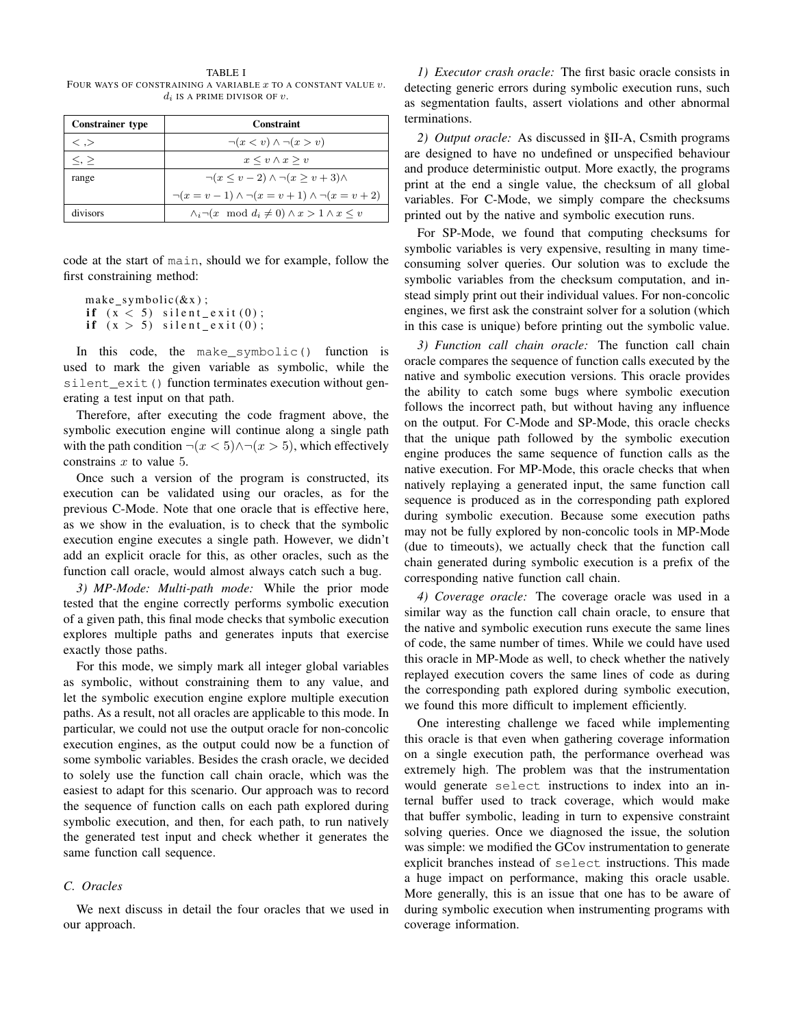TABLE I FOUR WAYS OF CONSTRAINING A VARIABLE  $x$  TO A CONSTANT VALUE  $v$ .  $d_i$  IS A PRIME DIVISOR OF  $v$ .

| <b>Constrainer</b> type | Constraint                                                       |
|-------------------------|------------------------------------------------------------------|
| $\langle . \rangle$     | $\neg(x < v) \wedge \neg(x > v)$                                 |
| $\lt$ , $>$             | $x \leq v \wedge x \geq v$                                       |
| range                   | $\neg(x \leq v-2) \land \neg(x \geq v+3) \land$                  |
|                         | $\neg(x = v - 1) \land \neg(x = v + 1) \land \neg(x = v + 2)$    |
| divisors                | $\wedge_i \neg (x \mod d_i \neq 0) \wedge x > 1 \wedge x \leq v$ |

code at the start of main, should we for example, follow the first constraining method:

```
make\_symbol(i(x x);
if (x < 5) silent_exit(0);
if (x > 5) silent_exit(0);
```
In this code, the make\_symbolic() function is used to mark the given variable as symbolic, while the silent exit() function terminates execution without generating a test input on that path.

Therefore, after executing the code fragment above, the symbolic execution engine will continue along a single path with the path condition  $\neg(x < 5) \land \neg(x > 5)$ , which effectively constrains  $x$  to value 5.

Once such a version of the program is constructed, its execution can be validated using our oracles, as for the previous C-Mode. Note that one oracle that is effective here, as we show in the evaluation, is to check that the symbolic execution engine executes a single path. However, we didn't add an explicit oracle for this, as other oracles, such as the function call oracle, would almost always catch such a bug.

*3) MP-Mode: Multi-path mode:* While the prior mode tested that the engine correctly performs symbolic execution of a given path, this final mode checks that symbolic execution explores multiple paths and generates inputs that exercise exactly those paths.

For this mode, we simply mark all integer global variables as symbolic, without constraining them to any value, and let the symbolic execution engine explore multiple execution paths. As a result, not all oracles are applicable to this mode. In particular, we could not use the output oracle for non-concolic execution engines, as the output could now be a function of some symbolic variables. Besides the crash oracle, we decided to solely use the function call chain oracle, which was the easiest to adapt for this scenario. Our approach was to record the sequence of function calls on each path explored during symbolic execution, and then, for each path, to run natively the generated test input and check whether it generates the same function call sequence.

## *C. Oracles*

We next discuss in detail the four oracles that we used in our approach.

*1) Executor crash oracle:* The first basic oracle consists in detecting generic errors during symbolic execution runs, such as segmentation faults, assert violations and other abnormal terminations.

*2) Output oracle:* As discussed in §II-A, Csmith programs are designed to have no undefined or unspecified behaviour and produce deterministic output. More exactly, the programs print at the end a single value, the checksum of all global variables. For C-Mode, we simply compare the checksums printed out by the native and symbolic execution runs.

For SP-Mode, we found that computing checksums for symbolic variables is very expensive, resulting in many timeconsuming solver queries. Our solution was to exclude the symbolic variables from the checksum computation, and instead simply print out their individual values. For non-concolic engines, we first ask the constraint solver for a solution (which in this case is unique) before printing out the symbolic value.

*3) Function call chain oracle:* The function call chain oracle compares the sequence of function calls executed by the native and symbolic execution versions. This oracle provides the ability to catch some bugs where symbolic execution follows the incorrect path, but without having any influence on the output. For C-Mode and SP-Mode, this oracle checks that the unique path followed by the symbolic execution engine produces the same sequence of function calls as the native execution. For MP-Mode, this oracle checks that when natively replaying a generated input, the same function call sequence is produced as in the corresponding path explored during symbolic execution. Because some execution paths may not be fully explored by non-concolic tools in MP-Mode (due to timeouts), we actually check that the function call chain generated during symbolic execution is a prefix of the corresponding native function call chain.

*4) Coverage oracle:* The coverage oracle was used in a similar way as the function call chain oracle, to ensure that the native and symbolic execution runs execute the same lines of code, the same number of times. While we could have used this oracle in MP-Mode as well, to check whether the natively replayed execution covers the same lines of code as during the corresponding path explored during symbolic execution, we found this more difficult to implement efficiently.

One interesting challenge we faced while implementing this oracle is that even when gathering coverage information on a single execution path, the performance overhead was extremely high. The problem was that the instrumentation would generate select instructions to index into an internal buffer used to track coverage, which would make that buffer symbolic, leading in turn to expensive constraint solving queries. Once we diagnosed the issue, the solution was simple: we modified the GCov instrumentation to generate explicit branches instead of select instructions. This made a huge impact on performance, making this oracle usable. More generally, this is an issue that one has to be aware of during symbolic execution when instrumenting programs with coverage information.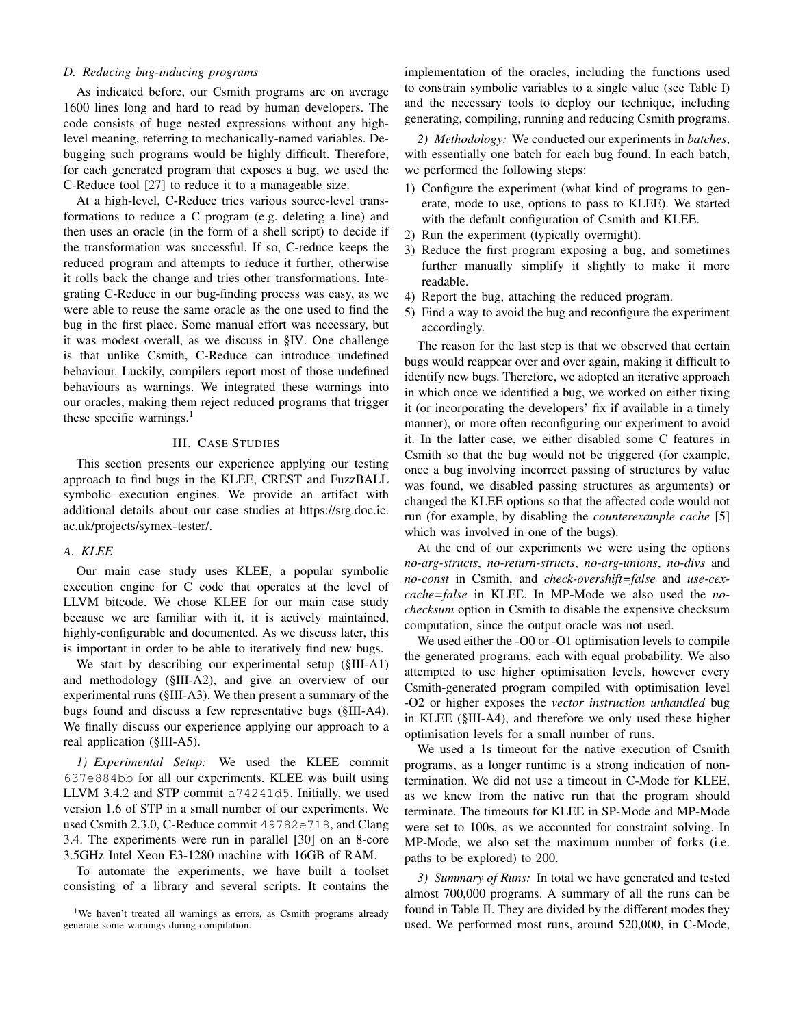## *D. Reducing bug-inducing programs*

As indicated before, our Csmith programs are on average 1600 lines long and hard to read by human developers. The code consists of huge nested expressions without any highlevel meaning, referring to mechanically-named variables. Debugging such programs would be highly difficult. Therefore, for each generated program that exposes a bug, we used the C-Reduce tool [27] to reduce it to a manageable size.

At a high-level, C-Reduce tries various source-level transformations to reduce a C program (e.g. deleting a line) and then uses an oracle (in the form of a shell script) to decide if the transformation was successful. If so, C-reduce keeps the reduced program and attempts to reduce it further, otherwise it rolls back the change and tries other transformations. Integrating C-Reduce in our bug-finding process was easy, as we were able to reuse the same oracle as the one used to find the bug in the first place. Some manual effort was necessary, but it was modest overall, as we discuss in §IV. One challenge is that unlike Csmith, C-Reduce can introduce undefined behaviour. Luckily, compilers report most of those undefined behaviours as warnings. We integrated these warnings into our oracles, making them reject reduced programs that trigger these specific warnings. $<sup>1</sup>$ </sup>

## III. CASE STUDIES

This section presents our experience applying our testing approach to find bugs in the KLEE, CREST and FuzzBALL symbolic execution engines. We provide an artifact with additional details about our case studies at https://srg.doc.ic. ac.uk/projects/symex-tester/.

#### *A. KLEE*

Our main case study uses KLEE, a popular symbolic execution engine for C code that operates at the level of LLVM bitcode. We chose KLEE for our main case study because we are familiar with it, it is actively maintained, highly-configurable and documented. As we discuss later, this is important in order to be able to iteratively find new bugs.

We start by describing our experimental setup (§III-A1) and methodology (§III-A2), and give an overview of our experimental runs (§III-A3). We then present a summary of the bugs found and discuss a few representative bugs (§III-A4). We finally discuss our experience applying our approach to a real application (§III-A5).

*1) Experimental Setup:* We used the KLEE commit 637e884bb for all our experiments. KLEE was built using LLVM 3.4.2 and STP commit a74241d5. Initially, we used version 1.6 of STP in a small number of our experiments. We used Csmith 2.3.0, C-Reduce commit 49782e718, and Clang 3.4. The experiments were run in parallel [30] on an 8-core 3.5GHz Intel Xeon E3-1280 machine with 16GB of RAM.

To automate the experiments, we have built a toolset consisting of a library and several scripts. It contains the implementation of the oracles, including the functions used to constrain symbolic variables to a single value (see Table I) and the necessary tools to deploy our technique, including generating, compiling, running and reducing Csmith programs.

*2) Methodology:* We conducted our experiments in *batches*, with essentially one batch for each bug found. In each batch, we performed the following steps:

- 1) Configure the experiment (what kind of programs to generate, mode to use, options to pass to KLEE). We started with the default configuration of Csmith and KLEE.
- 2) Run the experiment (typically overnight).
- 3) Reduce the first program exposing a bug, and sometimes further manually simplify it slightly to make it more readable.
- 4) Report the bug, attaching the reduced program.
- 5) Find a way to avoid the bug and reconfigure the experiment accordingly.

The reason for the last step is that we observed that certain bugs would reappear over and over again, making it difficult to identify new bugs. Therefore, we adopted an iterative approach in which once we identified a bug, we worked on either fixing it (or incorporating the developers' fix if available in a timely manner), or more often reconfiguring our experiment to avoid it. In the latter case, we either disabled some C features in Csmith so that the bug would not be triggered (for example, once a bug involving incorrect passing of structures by value was found, we disabled passing structures as arguments) or changed the KLEE options so that the affected code would not run (for example, by disabling the *counterexample cache* [5] which was involved in one of the bugs).

At the end of our experiments we were using the options *no-arg-structs*, *no-return-structs*, *no-arg-unions*, *no-divs* and *no-const* in Csmith, and *check-overshift=false* and *use-cexcache=false* in KLEE. In MP-Mode we also used the *nochecksum* option in Csmith to disable the expensive checksum computation, since the output oracle was not used.

We used either the -O0 or -O1 optimisation levels to compile the generated programs, each with equal probability. We also attempted to use higher optimisation levels, however every Csmith-generated program compiled with optimisation level -O2 or higher exposes the *vector instruction unhandled* bug in KLEE (§III-A4), and therefore we only used these higher optimisation levels for a small number of runs.

We used a 1s timeout for the native execution of Csmith programs, as a longer runtime is a strong indication of nontermination. We did not use a timeout in C-Mode for KLEE, as we knew from the native run that the program should terminate. The timeouts for KLEE in SP-Mode and MP-Mode were set to 100s, as we accounted for constraint solving. In MP-Mode, we also set the maximum number of forks (i.e. paths to be explored) to 200.

*3) Summary of Runs:* In total we have generated and tested almost 700,000 programs. A summary of all the runs can be found in Table II. They are divided by the different modes they used. We performed most runs, around 520,000, in C-Mode,

<sup>&</sup>lt;sup>1</sup>We haven't treated all warnings as errors, as Csmith programs already generate some warnings during compilation.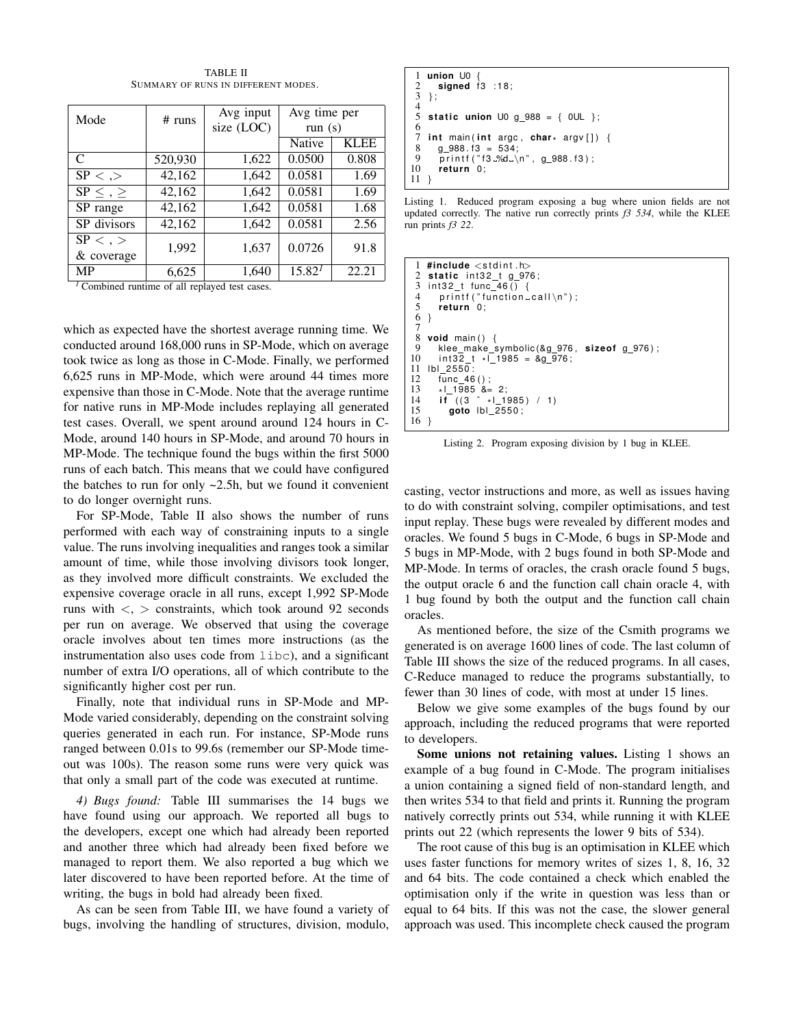| Mode             | # runs  | Avg input  | Avg time per  |             |  |
|------------------|---------|------------|---------------|-------------|--|
|                  |         | size (LOC) | run $(s)$     |             |  |
|                  |         |            | <b>Native</b> | <b>KLEE</b> |  |
| $\mathcal{C}$    | 520,930 | 1,622      | 0.0500        | 0.808       |  |
| $SP <$ .         | 42,162  | 1,642      | 0.0581        | 1.69        |  |
| $SP \leq . \geq$ | 42,162  | 1,642      | 0.0581        | 1.69        |  |
| SP range         | 42,162  | 1,642      | 0.0581        | 1.68        |  |
| SP divisors      | 42,162  | 1,642      | 0.0581        | 2.56        |  |
| SP < , >         | 1,992   | 1,637      | 0.0726        | 91.8        |  |
| & coverage       |         |            |               |             |  |
| MP               | 6,625   | 1,640      | $15.82^{1}$   | 22.21       |  |

TABLE II SUMMARY OF RUNS IN DIFFERENT MODES.

*<sup>1</sup>* Combined runtime of all replayed test cases.

which as expected have the shortest average running time. We conducted around 168,000 runs in SP-Mode, which on average took twice as long as those in C-Mode. Finally, we performed 6,625 runs in MP-Mode, which were around 44 times more expensive than those in C-Mode. Note that the average runtime for native runs in MP-Mode includes replaying all generated test cases. Overall, we spent around around 124 hours in C-Mode, around 140 hours in SP-Mode, and around 70 hours in MP-Mode. The technique found the bugs within the first 5000 runs of each batch. This means that we could have configured the batches to run for only  $\sim$ 2.5h, but we found it convenient to do longer overnight runs.

For SP-Mode, Table II also shows the number of runs performed with each way of constraining inputs to a single value. The runs involving inequalities and ranges took a similar amount of time, while those involving divisors took longer, as they involved more difficult constraints. We excluded the expensive coverage oracle in all runs, except 1,992 SP-Mode runs with  $\langle \cdot, \cdot \rangle$  constraints, which took around 92 seconds per run on average. We observed that using the coverage oracle involves about ten times more instructions (as the instrumentation also uses code from libc), and a significant number of extra I/O operations, all of which contribute to the significantly higher cost per run.

Finally, note that individual runs in SP-Mode and MP-Mode varied considerably, depending on the constraint solving queries generated in each run. For instance, SP-Mode runs ranged between 0.01s to 99.6s (remember our SP-Mode timeout was 100s). The reason some runs were very quick was that only a small part of the code was executed at runtime.

*4) Bugs found:* Table III summarises the 14 bugs we have found using our approach. We reported all bugs to the developers, except one which had already been reported and another three which had already been fixed before we managed to report them. We also reported a bug which we later discovered to have been reported before. At the time of writing, the bugs in bold had already been fixed.

As can be seen from Table III, we have found a variety of bugs, involving the handling of structures, division, modulo,

```
1 union U0 {
 \begin{array}{cc} 2 & \text{signed } 3 \\ 3 & \text{.} \end{array}3 };
 \frac{4}{5}static union U0 g 988 = \{ 0UL \};
 6
  7 int main(int argc, char* argv[]) {
  8         g_988.f3  =  534;<br>9         printf("f3.%d.\n",   g_988.f3);
10 return 0:
11 }
```
Listing 1. Reduced program exposing a bug where union fields are not updated correctly. The native run correctly prints *f3 534*, while the KLEE run prints *f3 22*.

|                | 1 #include $\lt$ stdint.h $>$                   |
|----------------|-------------------------------------------------|
|                | 2 static int32 t g 976;                         |
| 3              | $int32_t$ func_46() {                           |
|                | $print(f("function\_call\n,$                    |
| $\frac{4}{5}$  | return 0:                                       |
| 6 }            |                                                 |
| $\overline{7}$ |                                                 |
| 8              | <b>void</b> main() {                            |
| 9              | klee make symbolic(&g $976$ , sizeof g $976$ ); |
| 10             | int32 t $\star$ 1985 = &g 976;                  |
| 11             | Ibl 2550:                                       |
| 12             | func $46()$ ;                                   |
| 13             | $\star$ 1985 &= 2;                              |
|                | 14 if $((3 \t\times 1985) / 1)$                 |
| 15             | goto Ibl 2550;                                  |
| 16             |                                                 |

Listing 2. Program exposing division by 1 bug in KLEE.

casting, vector instructions and more, as well as issues having to do with constraint solving, compiler optimisations, and test input replay. These bugs were revealed by different modes and oracles. We found 5 bugs in C-Mode, 6 bugs in SP-Mode and 5 bugs in MP-Mode, with 2 bugs found in both SP-Mode and MP-Mode. In terms of oracles, the crash oracle found 5 bugs, the output oracle 6 and the function call chain oracle 4, with 1 bug found by both the output and the function call chain oracles.

As mentioned before, the size of the Csmith programs we generated is on average 1600 lines of code. The last column of Table III shows the size of the reduced programs. In all cases, C-Reduce managed to reduce the programs substantially, to fewer than 30 lines of code, with most at under 15 lines.

Below we give some examples of the bugs found by our approach, including the reduced programs that were reported to developers.

Some unions not retaining values. Listing 1 shows an example of a bug found in C-Mode. The program initialises a union containing a signed field of non-standard length, and then writes 534 to that field and prints it. Running the program natively correctly prints out 534, while running it with KLEE prints out 22 (which represents the lower 9 bits of 534).

The root cause of this bug is an optimisation in KLEE which uses faster functions for memory writes of sizes 1, 8, 16, 32 and 64 bits. The code contained a check which enabled the optimisation only if the write in question was less than or equal to 64 bits. If this was not the case, the slower general approach was used. This incomplete check caused the program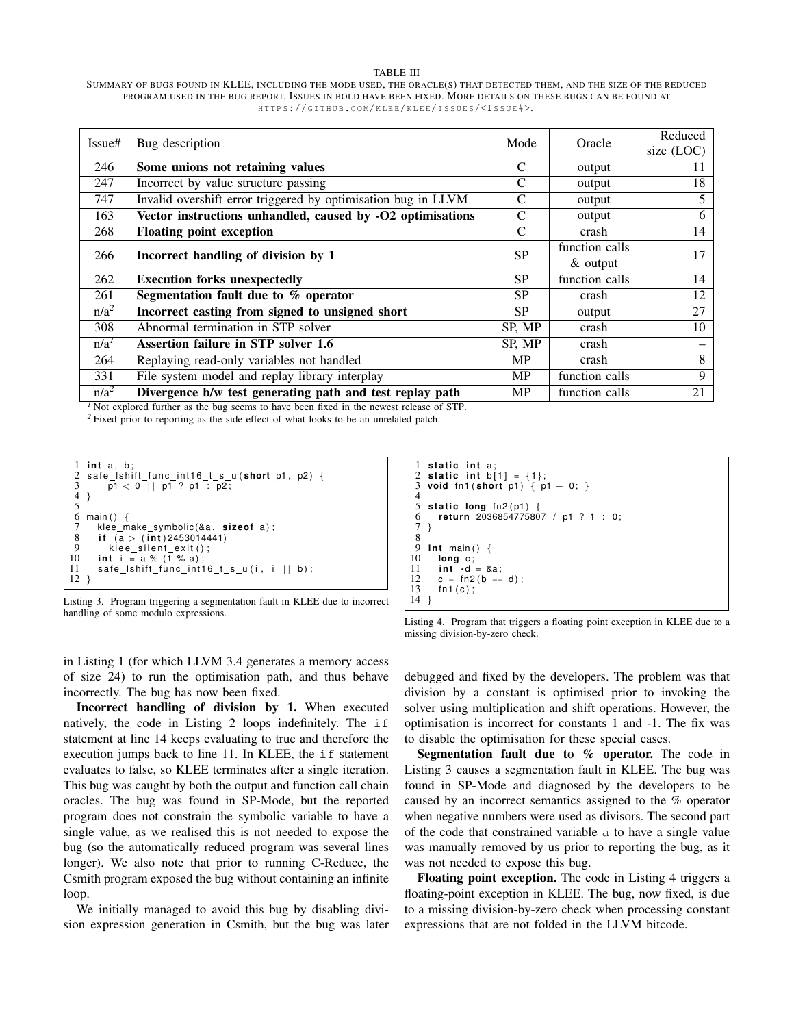#### TABLE III

SUMMARY OF BUGS FOUND IN KLEE, INCLUDING THE MODE USED, THE ORACLE(S) THAT DETECTED THEM, AND THE SIZE OF THE REDUCED PROGRAM USED IN THE BUG REPORT. ISSUES IN BOLD HAVE BEEN FIXED. MORE DETAILS ON THESE BUGS CAN BE FOUND AT HTTPS://GITHUB.COM/KLEE/KLEE/ISSUES/<ISSUE#>.

| Issue#           | Bug description                                               | Mode      | Oracle         | Reduced    |
|------------------|---------------------------------------------------------------|-----------|----------------|------------|
|                  |                                                               |           |                | size (LOC) |
| 246              | Some unions not retaining values                              | C         | output         | 11         |
| 247              | Incorrect by value structure passing                          | C         | output         | 18         |
| 747              | Invalid overshift error triggered by optimisation bug in LLVM | C         | output         | 5          |
| 163              | Vector instructions unhandled, caused by -O2 optimisations    | C         | output         | 6          |
| 268              | Floating point exception                                      | C         | crash          | 14         |
| 266              | Incorrect handling of division by 1                           | <b>SP</b> | function calls | 17         |
|                  |                                                               |           | $\&$ output    |            |
| 262              | <b>Execution forks unexpectedly</b>                           | <b>SP</b> | function calls | 14         |
| 261              | Segmentation fault due to % operator                          | <b>SP</b> | crash          | 12         |
| $n/a^2$          | Incorrect casting from signed to unsigned short               | <b>SP</b> | output         | 27         |
| 308              | Abnormal termination in STP solver                            | SP, MP    | crash          | 10         |
| n/a <sup>1</sup> | <b>Assertion failure in STP solver 1.6</b>                    | SP, MP    | crash          |            |
| 264              | Replaying read-only variables not handled                     | <b>MP</b> | crash          | 8          |
| 331              | File system model and replay library interplay                | <b>MP</b> | function calls | 9          |
| $n/a^2$          | Divergence b/w test generating path and test replay path      | <b>MP</b> | function calls | 21         |

*<sup>1</sup>* Not explored further as the bug seems to have been fixed in the newest release of STP.

*<sup>2</sup>* Fixed prior to reporting as the side effect of what looks to be an unrelated patch.

```
\frac{1}{2} int a, b;
 2 safe_ishift_func_int16_t_s_u(short p1, p2) {<br>3 p1 < 0 || p1 ? p1 : p2;
 \overline{p1} < 0|| p1 ? p1 : p2;<br>4 }
    }
 \frac{5}{6}6 \text{ main}() \{<br>
7 \text{ } klee m
 7 klee make symbolic (\& a, sizeof a);<br>8 if (a > (int) \, 2453014441)8 if \overline{a} > (\overline{in}t) 2453014441<br>9 klee silent exit()
9 k lee_silent_exit();<br>10 int i = a % (1 % a);
11 safe_Ishift_func_int16_t_s_u(i, i || b);
12 }
```
Listing 3. Program triggering a segmentation fault in KLEE due to incorrect handling of some modulo expressions.

in Listing 1 (for which LLVM 3.4 generates a memory access of size 24) to run the optimisation path, and thus behave incorrectly. The bug has now been fixed.

Incorrect handling of division by 1. When executed natively, the code in Listing 2 loops indefinitely. The if statement at line 14 keeps evaluating to true and therefore the execution jumps back to line 11. In KLEE, the if statement evaluates to false, so KLEE terminates after a single iteration. This bug was caught by both the output and function call chain oracles. The bug was found in SP-Mode, but the reported program does not constrain the symbolic variable to have a single value, as we realised this is not needed to expose the bug (so the automatically reduced program was several lines longer). We also note that prior to running C-Reduce, the Csmith program exposed the bug without containing an infinite loop.

We initially managed to avoid this bug by disabling division expression generation in Csmith, but the bug was later

```
1 static int a;<br>2 static int bl
 2 static int b[1] = \{1\};<br>3 void fn1(short p1) { p
    void fn1 ( short p1 ) { p1 − 0; }
 5
 5 static long fn2(p1) {<br>6 return 203685477580
 6 re tu rn 2036854775807 / p1 ? 1 : 0;
    7 }
 8
9 int main () {<br>10 long c:
10 long c;<br>11 int *d
11 int *d = 8a;
12 c = fn2 (b == d);<br>13 fn1 (c);
        fn1 ( c ) ;
14 }
```
Listing 4. Program that triggers a floating point exception in KLEE due to a missing division-by-zero check.

debugged and fixed by the developers. The problem was that division by a constant is optimised prior to invoking the solver using multiplication and shift operations. However, the optimisation is incorrect for constants 1 and -1. The fix was to disable the optimisation for these special cases.

Segmentation fault due to % operator. The code in Listing 3 causes a segmentation fault in KLEE. The bug was found in SP-Mode and diagnosed by the developers to be caused by an incorrect semantics assigned to the % operator when negative numbers were used as divisors. The second part of the code that constrained variable a to have a single value was manually removed by us prior to reporting the bug, as it was not needed to expose this bug.

Floating point exception. The code in Listing 4 triggers a floating-point exception in KLEE. The bug, now fixed, is due to a missing division-by-zero check when processing constant expressions that are not folded in the LLVM bitcode.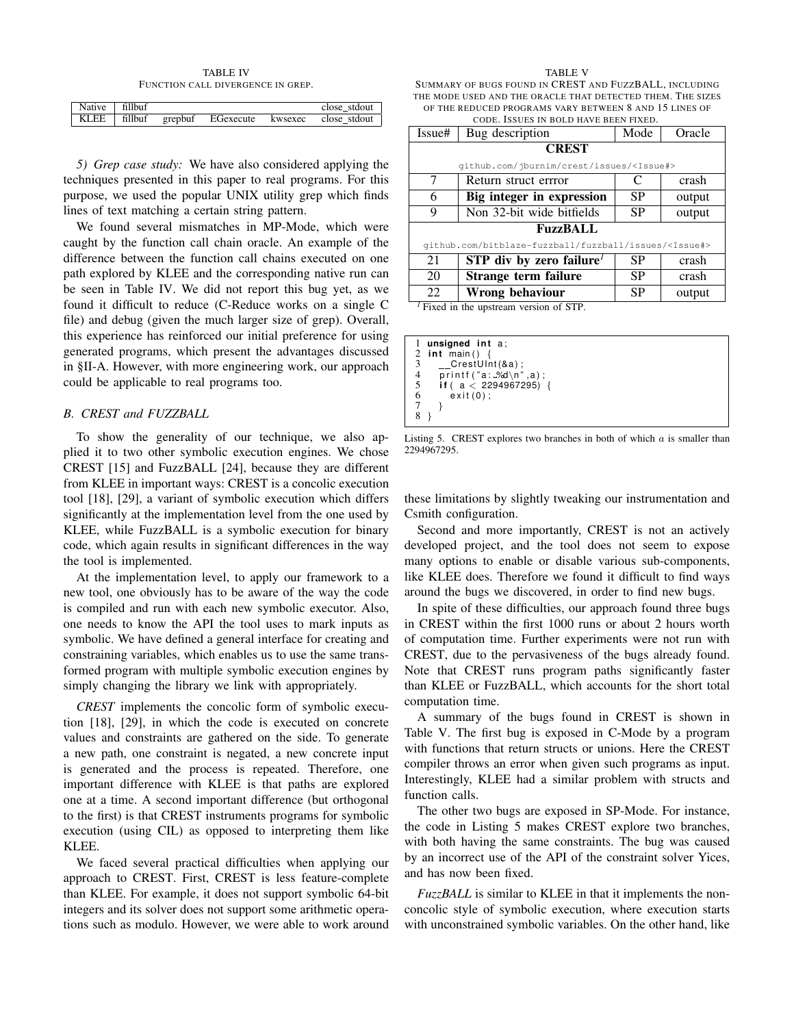TABLE IV FUNCTION CALL DIVERGENCE IN GREP.

| Native fillbuf |  |                                                     | close stdout |
|----------------|--|-----------------------------------------------------|--------------|
|                |  | KLEE fillbuf grepbuf EGexecute kwsexec close_stdout |              |

*5) Grep case study:* We have also considered applying the techniques presented in this paper to real programs. For this purpose, we used the popular UNIX utility grep which finds lines of text matching a certain string pattern.

We found several mismatches in MP-Mode, which were caught by the function call chain oracle. An example of the difference between the function call chains executed on one path explored by KLEE and the corresponding native run can be seen in Table IV. We did not report this bug yet, as we found it difficult to reduce (C-Reduce works on a single C file) and debug (given the much larger size of grep). Overall, this experience has reinforced our initial preference for using generated programs, which present the advantages discussed in §II-A. However, with more engineering work, our approach could be applicable to real programs too.

## *B. CREST and FUZZBALL*

To show the generality of our technique, we also applied it to two other symbolic execution engines. We chose CREST [15] and FuzzBALL [24], because they are different from KLEE in important ways: CREST is a concolic execution tool [18], [29], a variant of symbolic execution which differs significantly at the implementation level from the one used by KLEE, while FuzzBALL is a symbolic execution for binary code, which again results in significant differences in the way the tool is implemented.

At the implementation level, to apply our framework to a new tool, one obviously has to be aware of the way the code is compiled and run with each new symbolic executor. Also, one needs to know the API the tool uses to mark inputs as symbolic. We have defined a general interface for creating and constraining variables, which enables us to use the same transformed program with multiple symbolic execution engines by simply changing the library we link with appropriately.

*CREST* implements the concolic form of symbolic execution [18], [29], in which the code is executed on concrete values and constraints are gathered on the side. To generate a new path, one constraint is negated, a new concrete input is generated and the process is repeated. Therefore, one important difference with KLEE is that paths are explored one at a time. A second important difference (but orthogonal to the first) is that CREST instruments programs for symbolic execution (using CIL) as opposed to interpreting them like KLEE.

We faced several practical difficulties when applying our approach to CREST. First, CREST is less feature-complete than KLEE. For example, it does not support symbolic 64-bit integers and its solver does not support some arithmetic operations such as modulo. However, we were able to work around

TABLE V SUMMARY OF BUGS FOUND IN CREST AND FUZZBALL, INCLUDING THE MODE USED AND THE ORACLE THAT DETECTED THEM. THE SIZES OF THE REDUCED PROGRAMS VARY BETWEEN 8 AND 15 LINES OF

| CODE. ISSUES IN BOLD HAVE BEEN FIXED.                           |                                                               |           |        |  |
|-----------------------------------------------------------------|---------------------------------------------------------------|-----------|--------|--|
| Issue#                                                          | Bug description<br>Mode                                       |           | Oracle |  |
| <b>CREST</b>                                                    |                                                               |           |        |  |
| qithub.com/jburnim/crest/issues/ <issue#></issue#>              |                                                               |           |        |  |
| 7                                                               | Return struct errror                                          | C         | crash  |  |
| 6                                                               | Big integer in expression                                     | SP        | output |  |
| 9                                                               | Non 32-bit wide bitfields                                     | <b>SP</b> | output |  |
| FuzzBALL                                                        |                                                               |           |        |  |
| qithub.com/bitblaze-fuzzball/fuzzball/issues/ <issue#></issue#> |                                                               |           |        |  |
| 21                                                              | <b>STP</b> div by zero failure <sup><math>\prime</math></sup> | SP        | crash  |  |
| 20                                                              | Strange term failure                                          | SP        | crash  |  |
| 22                                                              | Wrong behaviour                                               | SP        | output |  |
| <b>PUILLER</b>                                                  |                                                               |           |        |  |

Fixed in the upstream version of STP.

| unsigned int a:<br>1                               |  |
|----------------------------------------------------|--|
| 2 int main() $\{$                                  |  |
| $CrestUInt(8a)$ ;                                  |  |
| $\frac{4}{1}$<br>printf("a: $\mathcal{A}$ d\n",a); |  |
| 5 <sup>5</sup><br>if ( $a < 2294967295$ ) {        |  |
| 6<br>ext(0);                                       |  |
|                                                    |  |
|                                                    |  |
|                                                    |  |

Listing 5. CREST explores two branches in both of which  $a$  is smaller than 2294967295.

these limitations by slightly tweaking our instrumentation and Csmith configuration.

Second and more importantly, CREST is not an actively developed project, and the tool does not seem to expose many options to enable or disable various sub-components, like KLEE does. Therefore we found it difficult to find ways around the bugs we discovered, in order to find new bugs.

In spite of these difficulties, our approach found three bugs in CREST within the first 1000 runs or about 2 hours worth of computation time. Further experiments were not run with CREST, due to the pervasiveness of the bugs already found. Note that CREST runs program paths significantly faster than KLEE or FuzzBALL, which accounts for the short total computation time.

A summary of the bugs found in CREST is shown in Table V. The first bug is exposed in C-Mode by a program with functions that return structs or unions. Here the CREST compiler throws an error when given such programs as input. Interestingly, KLEE had a similar problem with structs and function calls.

The other two bugs are exposed in SP-Mode. For instance, the code in Listing 5 makes CREST explore two branches, with both having the same constraints. The bug was caused by an incorrect use of the API of the constraint solver Yices, and has now been fixed.

*FuzzBALL* is similar to KLEE in that it implements the nonconcolic style of symbolic execution, where execution starts with unconstrained symbolic variables. On the other hand, like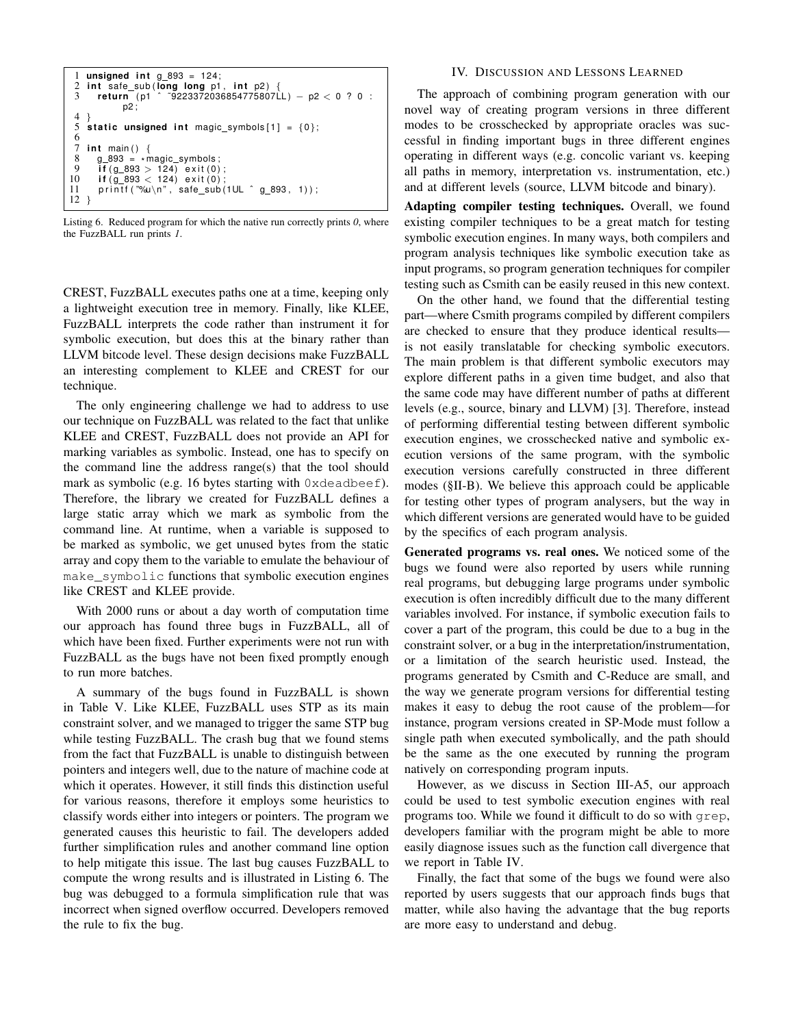```
1 unsigned int g_893 = 124;<br>2 int safe sub(long long p1
  2 i n t safe sub ( long long p1 , i n t p2 ) {
3 re tu rn ( p1 ˆ ˜9223372036854775807LL ) − p2 < 0 ? 0 :
                 p2 ;
 rac{4}{5}\text{static} unsigned int magic_symbols [1] = {0};
 \frac{6}{7}7 int main () {<br>8 g 893 = *n
 8 g 893 = \frac{1}{2} magic symbols;<br>9 if (q 893 > 124) exit (0)
9 if (g_893 > 124) exit (0);<br>10 if (g_893 < 124) exit (0);
11 printf ("%u\n", safe_sub(1UL ^ g_893, 1));
12 }
```
Listing 6. Reduced program for which the native run correctly prints *0*, where the FuzzBALL run prints *1*.

CREST, FuzzBALL executes paths one at a time, keeping only a lightweight execution tree in memory. Finally, like KLEE, FuzzBALL interprets the code rather than instrument it for symbolic execution, but does this at the binary rather than LLVM bitcode level. These design decisions make FuzzBALL an interesting complement to KLEE and CREST for our technique.

The only engineering challenge we had to address to use our technique on FuzzBALL was related to the fact that unlike KLEE and CREST, FuzzBALL does not provide an API for marking variables as symbolic. Instead, one has to specify on the command line the address range(s) that the tool should mark as symbolic (e.g. 16 bytes starting with 0xdeadbeef). Therefore, the library we created for FuzzBALL defines a large static array which we mark as symbolic from the command line. At runtime, when a variable is supposed to be marked as symbolic, we get unused bytes from the static array and copy them to the variable to emulate the behaviour of make\_symbolic functions that symbolic execution engines like CREST and KLEE provide.

With 2000 runs or about a day worth of computation time our approach has found three bugs in FuzzBALL, all of which have been fixed. Further experiments were not run with FuzzBALL as the bugs have not been fixed promptly enough to run more batches.

A summary of the bugs found in FuzzBALL is shown in Table V. Like KLEE, FuzzBALL uses STP as its main constraint solver, and we managed to trigger the same STP bug while testing FuzzBALL. The crash bug that we found stems from the fact that FuzzBALL is unable to distinguish between pointers and integers well, due to the nature of machine code at which it operates. However, it still finds this distinction useful for various reasons, therefore it employs some heuristics to classify words either into integers or pointers. The program we generated causes this heuristic to fail. The developers added further simplification rules and another command line option to help mitigate this issue. The last bug causes FuzzBALL to compute the wrong results and is illustrated in Listing 6. The bug was debugged to a formula simplification rule that was incorrect when signed overflow occurred. Developers removed the rule to fix the bug.

## IV. DISCUSSION AND LESSONS LEARNED

The approach of combining program generation with our novel way of creating program versions in three different modes to be crosschecked by appropriate oracles was successful in finding important bugs in three different engines operating in different ways (e.g. concolic variant vs. keeping all paths in memory, interpretation vs. instrumentation, etc.) and at different levels (source, LLVM bitcode and binary).

Adapting compiler testing techniques. Overall, we found existing compiler techniques to be a great match for testing symbolic execution engines. In many ways, both compilers and program analysis techniques like symbolic execution take as input programs, so program generation techniques for compiler testing such as Csmith can be easily reused in this new context.

On the other hand, we found that the differential testing part—where Csmith programs compiled by different compilers are checked to ensure that they produce identical results is not easily translatable for checking symbolic executors. The main problem is that different symbolic executors may explore different paths in a given time budget, and also that the same code may have different number of paths at different levels (e.g., source, binary and LLVM) [3]. Therefore, instead of performing differential testing between different symbolic execution engines, we crosschecked native and symbolic execution versions of the same program, with the symbolic execution versions carefully constructed in three different modes (§II-B). We believe this approach could be applicable for testing other types of program analysers, but the way in which different versions are generated would have to be guided by the specifics of each program analysis.

Generated programs vs. real ones. We noticed some of the bugs we found were also reported by users while running real programs, but debugging large programs under symbolic execution is often incredibly difficult due to the many different variables involved. For instance, if symbolic execution fails to cover a part of the program, this could be due to a bug in the constraint solver, or a bug in the interpretation/instrumentation, or a limitation of the search heuristic used. Instead, the programs generated by Csmith and C-Reduce are small, and the way we generate program versions for differential testing makes it easy to debug the root cause of the problem—for instance, program versions created in SP-Mode must follow a single path when executed symbolically, and the path should be the same as the one executed by running the program natively on corresponding program inputs.

However, as we discuss in Section III-A5, our approach could be used to test symbolic execution engines with real programs too. While we found it difficult to do so with grep, developers familiar with the program might be able to more easily diagnose issues such as the function call divergence that we report in Table IV.

Finally, the fact that some of the bugs we found were also reported by users suggests that our approach finds bugs that matter, while also having the advantage that the bug reports are more easy to understand and debug.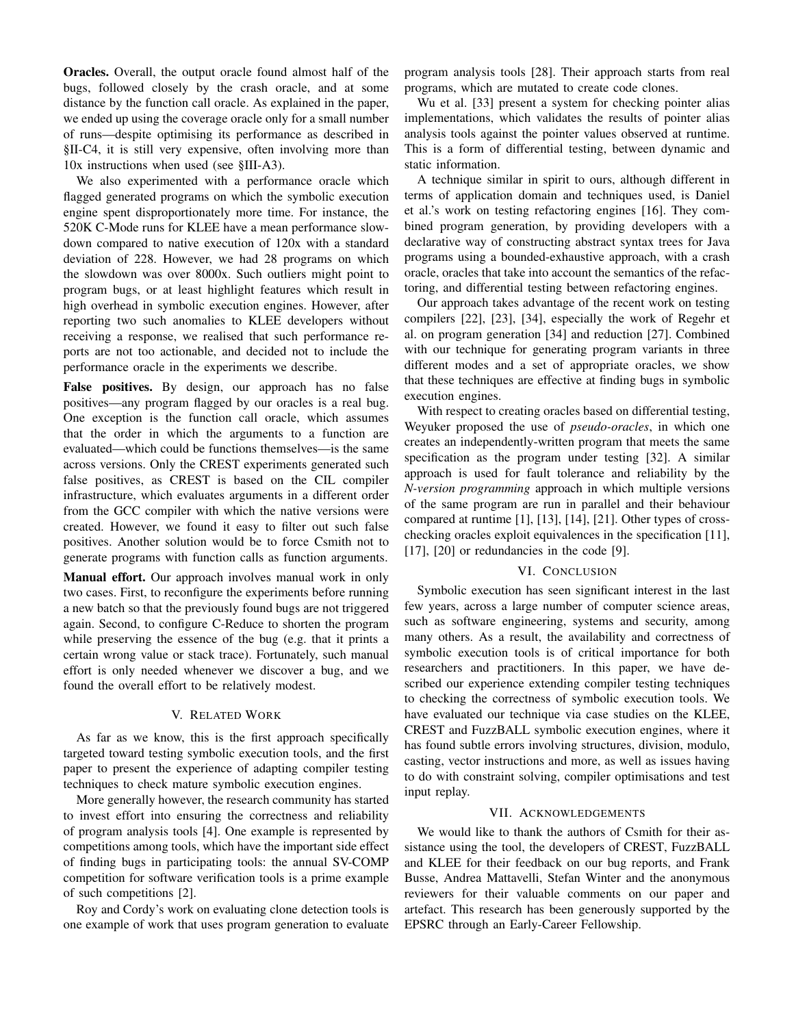Oracles. Overall, the output oracle found almost half of the bugs, followed closely by the crash oracle, and at some distance by the function call oracle. As explained in the paper, we ended up using the coverage oracle only for a small number of runs—despite optimising its performance as described in §II-C4, it is still very expensive, often involving more than 10x instructions when used (see §III-A3).

We also experimented with a performance oracle which flagged generated programs on which the symbolic execution engine spent disproportionately more time. For instance, the 520K C-Mode runs for KLEE have a mean performance slowdown compared to native execution of 120x with a standard deviation of 228. However, we had 28 programs on which the slowdown was over 8000x. Such outliers might point to program bugs, or at least highlight features which result in high overhead in symbolic execution engines. However, after reporting two such anomalies to KLEE developers without receiving a response, we realised that such performance reports are not too actionable, and decided not to include the performance oracle in the experiments we describe.

False positives. By design, our approach has no false positives—any program flagged by our oracles is a real bug. One exception is the function call oracle, which assumes that the order in which the arguments to a function are evaluated—which could be functions themselves—is the same across versions. Only the CREST experiments generated such false positives, as CREST is based on the CIL compiler infrastructure, which evaluates arguments in a different order from the GCC compiler with which the native versions were created. However, we found it easy to filter out such false positives. Another solution would be to force Csmith not to generate programs with function calls as function arguments.

Manual effort. Our approach involves manual work in only two cases. First, to reconfigure the experiments before running a new batch so that the previously found bugs are not triggered again. Second, to configure C-Reduce to shorten the program while preserving the essence of the bug (e.g. that it prints a certain wrong value or stack trace). Fortunately, such manual effort is only needed whenever we discover a bug, and we found the overall effort to be relatively modest.

#### V. RELATED WORK

As far as we know, this is the first approach specifically targeted toward testing symbolic execution tools, and the first paper to present the experience of adapting compiler testing techniques to check mature symbolic execution engines.

More generally however, the research community has started to invest effort into ensuring the correctness and reliability of program analysis tools [4]. One example is represented by competitions among tools, which have the important side effect of finding bugs in participating tools: the annual SV-COMP competition for software verification tools is a prime example of such competitions [2].

Roy and Cordy's work on evaluating clone detection tools is one example of work that uses program generation to evaluate

program analysis tools [28]. Their approach starts from real programs, which are mutated to create code clones.

Wu et al. [33] present a system for checking pointer alias implementations, which validates the results of pointer alias analysis tools against the pointer values observed at runtime. This is a form of differential testing, between dynamic and static information.

A technique similar in spirit to ours, although different in terms of application domain and techniques used, is Daniel et al.'s work on testing refactoring engines [16]. They combined program generation, by providing developers with a declarative way of constructing abstract syntax trees for Java programs using a bounded-exhaustive approach, with a crash oracle, oracles that take into account the semantics of the refactoring, and differential testing between refactoring engines.

Our approach takes advantage of the recent work on testing compilers [22], [23], [34], especially the work of Regehr et al. on program generation [34] and reduction [27]. Combined with our technique for generating program variants in three different modes and a set of appropriate oracles, we show that these techniques are effective at finding bugs in symbolic execution engines.

With respect to creating oracles based on differential testing, Weyuker proposed the use of *pseudo-oracles*, in which one creates an independently-written program that meets the same specification as the program under testing [32]. A similar approach is used for fault tolerance and reliability by the *N-version programming* approach in which multiple versions of the same program are run in parallel and their behaviour compared at runtime [1], [13], [14], [21]. Other types of crosschecking oracles exploit equivalences in the specification [11], [17], [20] or redundancies in the code [9].

## VI. CONCLUSION

Symbolic execution has seen significant interest in the last few years, across a large number of computer science areas, such as software engineering, systems and security, among many others. As a result, the availability and correctness of symbolic execution tools is of critical importance for both researchers and practitioners. In this paper, we have described our experience extending compiler testing techniques to checking the correctness of symbolic execution tools. We have evaluated our technique via case studies on the KLEE, CREST and FuzzBALL symbolic execution engines, where it has found subtle errors involving structures, division, modulo, casting, vector instructions and more, as well as issues having to do with constraint solving, compiler optimisations and test input replay.

# VII. ACKNOWLEDGEMENTS

We would like to thank the authors of Csmith for their assistance using the tool, the developers of CREST, FuzzBALL and KLEE for their feedback on our bug reports, and Frank Busse, Andrea Mattavelli, Stefan Winter and the anonymous reviewers for their valuable comments on our paper and artefact. This research has been generously supported by the EPSRC through an Early-Career Fellowship.